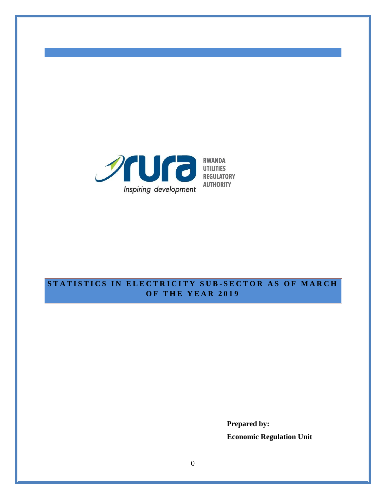

# **S T A T I S T I C S I N E L E C T R I C I T Y S U B - S E C T O R A S O F M A R C H O F T H E Y E A R 2 0 1 9**

**Prepared by: Economic Regulation Unit**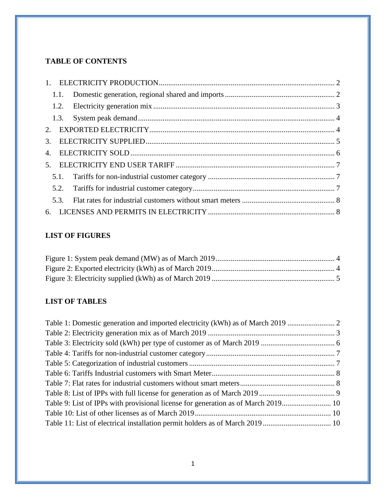### **TABLE OF CONTENTS**

| 3.   |  |
|------|--|
| 4.   |  |
| 5.   |  |
|      |  |
|      |  |
| 5.3. |  |
|      |  |

## **LIST OF FIGURES**

# **LIST OF TABLES**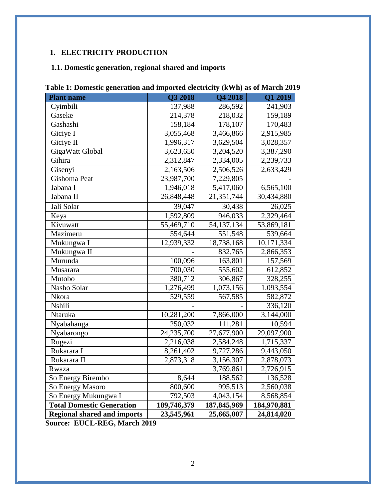# <span id="page-2-0"></span>**1. ELECTRICITY PRODUCTION**

### <span id="page-2-1"></span>**1.1. Domestic generation, regional shared and imports**

| <b>Plant name</b>                  | Q3 2018     | Q4 2018     | Q1 2019     |
|------------------------------------|-------------|-------------|-------------|
| Cyimbili                           | 137,988     | 286,592     | 241,903     |
| Gaseke                             | 214,378     | 218,032     | 159,189     |
| Gashashi                           | 158,184     | 178,107     | 170,483     |
| Giciye I                           | 3,055,468   | 3,466,866   | 2,915,985   |
| Giciye II                          | 1,996,317   | 3,629,504   | 3,028,357   |
| GigaWatt Global                    | 3,623,650   | 3,204,520   | 3,387,290   |
| Gihira                             | 2,312,847   | 2,334,005   | 2,239,733   |
| Gisenyi                            | 2,163,506   | 2,506,526   | 2,633,429   |
| Gishoma Peat                       | 23,987,700  | 7,229,805   |             |
| Jabana I                           | 1,946,018   | 5,417,060   | 6,565,100   |
| Jabana II                          | 26,848,448  | 21,351,744  | 30,434,880  |
| Jali Solar                         | 39,047      | 30,438      | 26,025      |
| Keya                               | 1,592,809   | 946,033     | 2,329,464   |
| Kivuwatt                           | 55,469,710  | 54,137,134  | 53,869,181  |
| Mazimeru                           | 554,644     | 551,548     | 539,664     |
| Mukungwa I                         | 12,939,332  | 18,738,168  | 10,171,334  |
| Mukungwa II                        |             | 832,765     | 2,866,353   |
| Murunda                            | 100,096     | 163,801     | 157,569     |
| Musarara                           | 700,030     | 555,602     | 612,852     |
| Mutobo                             | 380,712     | 306,867     | 328,255     |
| Nasho Solar                        | 1,276,499   | 1,073,156   | 1,093,554   |
| Nkora                              | 529,559     | 567,585     | 582,872     |
| Nshili                             |             |             | 336,120     |
| Ntaruka                            | 10,281,200  | 7,866,000   | 3,144,000   |
| Nyabahanga                         | 250,032     | 111,281     | 10,594      |
| Nyabarongo                         | 24,235,700  | 27,677,900  | 29,097,900  |
| Rugezi                             | 2,216,038   | 2,584,248   | 1,715,337   |
| Rukarara I                         | 8,261,402   | 9,727,286   | 9,443,050   |
| Rukarara II                        | 2,873,318   | 3,156,307   | 2,878,073   |
| Rwaza                              |             | 3,769,861   | 2,726,915   |
| So Energy Birembo                  | 8,644       | 188,562     | 136,528     |
| So Energy Masoro                   | 800,600     | 995,513     | 2,560,038   |
| So Energy Mukungwa I               | 792,503     | 4,043,154   | 8,568,854   |
| <b>Total Domestic Generation</b>   | 189,746,379 | 187,845,969 | 184,970,881 |
| <b>Regional shared and imports</b> | 23,545,961  | 25,665,007  | 24,814,020  |

<span id="page-2-2"></span>

|  | Table 1: Domestic generation and imported electricity (kWh) as of March 2019 |  |  |  |
|--|------------------------------------------------------------------------------|--|--|--|
|  |                                                                              |  |  |  |

**Source: EUCL-REG, March 2019**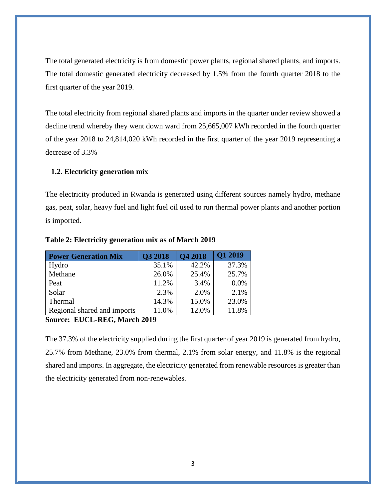The total generated electricity is from domestic power plants, regional shared plants, and imports. The total domestic generated electricity decreased by 1.5% from the fourth quarter 2018 to the first quarter of the year 2019.

The total electricity from regional shared plants and imports in the quarter under review showed a decline trend whereby they went down ward from 25,665,007 kWh recorded in the fourth quarter of the year 2018 to 24,814,020 kWh recorded in the first quarter of the year 2019 representing a decrease of 3.3%

#### <span id="page-3-0"></span>**1.2. Electricity generation mix**

The electricity produced in Rwanda is generated using different sources namely hydro, methane gas, peat, solar, heavy fuel and light fuel oil used to run thermal power plants and another portion is imported.

| <b>Power Generation Mix</b> | Q3 2018 | <b>Q4 2018</b> | <b>Q1 2019</b> |
|-----------------------------|---------|----------------|----------------|
| Hydro                       | 35.1%   | 42.2%          | 37.3%          |
| Methane                     | 26.0%   | 25.4%          | 25.7%          |
| Peat                        | 11.2%   | 3.4%           | 0.0%           |
| Solar                       | 2.3%    | 2.0%           | 2.1%           |
| Thermal                     | 14.3%   | 15.0%          | 23.0%          |
| Regional shared and imports | 11.0%   | 12.0%          | 11.8%          |

#### <span id="page-3-1"></span>**Table 2: Electricity generation mix as of March 2019**

#### **Source: EUCL-REG, March 2019**

The 37.3% of the electricity supplied during the first quarter of year 2019 is generated from hydro, 25.7% from Methane, 23.0% from thermal, 2.1% from solar energy, and 11.8% is the regional shared and imports. In aggregate, the electricity generated from renewable resources is greater than the electricity generated from non-renewables.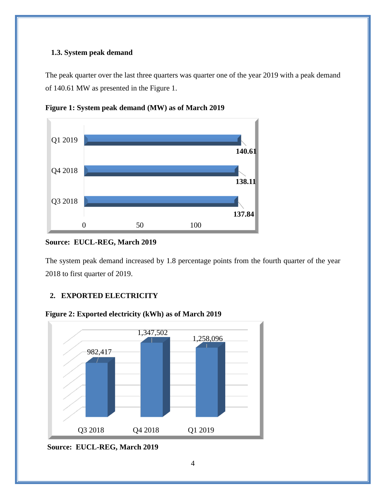#### <span id="page-4-0"></span>**1.3. System peak demand**

The peak quarter over the last three quarters was quarter one of the year 2019 with a peak demand of 140.61 MW as presented in the Figure 1.



<span id="page-4-2"></span>**Figure 1: System peak demand (MW) as of March 2019**

#### **Source: EUCL-REG, March 2019**

The system peak demand increased by 1.8 percentage points from the fourth quarter of the year 2018 to first quarter of 2019.

### <span id="page-4-1"></span>**2. EXPORTED ELECTRICITY**

<span id="page-4-3"></span>



**Source: EUCL-REG, March 2019**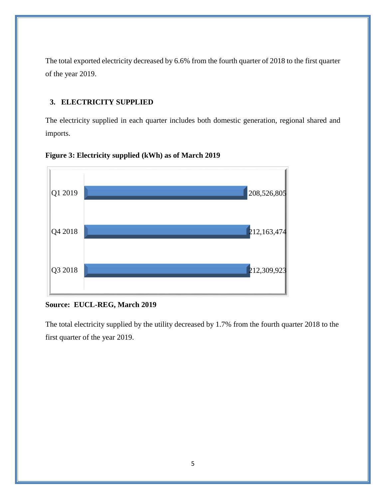The total exported electricity decreased by 6.6% from the fourth quarter of 2018 to the first quarter of the year 2019.

### <span id="page-5-0"></span>**3. ELECTRICITY SUPPLIED**

The electricity supplied in each quarter includes both domestic generation, regional shared and imports.



<span id="page-5-1"></span>**Figure 3: Electricity supplied (kWh) as of March 2019**

#### **Source: EUCL-REG, March 2019**

The total electricity supplied by the utility decreased by 1.7% from the fourth quarter 2018 to the first quarter of the year 2019.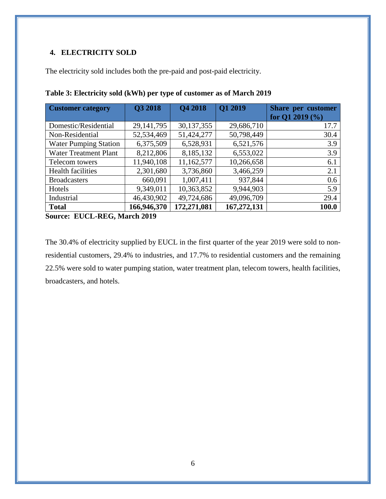### <span id="page-6-0"></span>**4. ELECTRICITY SOLD**

The electricity sold includes both the pre-paid and post-paid electricity.

| <b>Customer category</b>     | Q3 2018      | <b>Q4 2018</b> | Q1 2019     | Share per customer  |
|------------------------------|--------------|----------------|-------------|---------------------|
|                              |              |                |             | for Q1 2019 $(\% )$ |
| Domestic/Residential         | 29, 141, 795 | 30, 137, 355   | 29,686,710  | 17.7                |
| Non-Residential              | 52,534,469   | 51,424,277     | 50,798,449  | 30.4                |
| <b>Water Pumping Station</b> | 6,375,509    | 6,528,931      | 6,521,576   | 3.9                 |
| <b>Water Treatment Plant</b> | 8,212,806    | 8,185,132      | 6,553,022   | 3.9                 |
| Telecom towers               | 11,940,108   | 11,162,577     | 10,266,658  | 6.1                 |
| <b>Health facilities</b>     | 2,301,680    | 3,736,860      | 3,466,259   | 2.1                 |
| <b>Broadcasters</b>          | 660,091      | 1,007,411      | 937,844     | 0.6                 |
| Hotels                       | 9,349,011    | 10,363,852     | 9,944,903   | 5.9                 |
| Industrial                   | 46,430,902   | 49,724,686     | 49,096,709  | 29.4                |
| <b>Total</b>                 | 166,946,370  | 172,271,081    | 167,272,131 | 100.0               |

<span id="page-6-1"></span>**Table 3: Electricity sold (kWh) per type of customer as of March 2019**

**Source: EUCL-REG, March 2019**

The 30.4% of electricity supplied by EUCL in the first quarter of the year 2019 were sold to nonresidential customers, 29.4% to industries, and 17.7% to residential customers and the remaining 22.5% were sold to water pumping station, water treatment plan, telecom towers, health facilities, broadcasters, and hotels.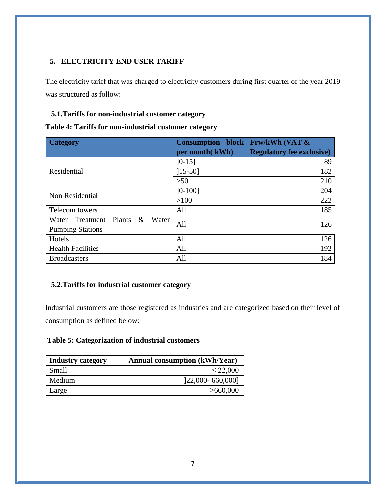### <span id="page-7-0"></span>**5. ELECTRICITY END USER TARIFF**

The electricity tariff that was charged to electricity customers during first quarter of the year 2019 was structured as follow:

#### <span id="page-7-1"></span>**5.1.Tariffs for non-industrial customer category**

<span id="page-7-3"></span>

| Table 4: Tariffs for non-industrial customer category |  |  |  |  |  |  |
|-------------------------------------------------------|--|--|--|--|--|--|
|-------------------------------------------------------|--|--|--|--|--|--|

| <b>Category</b>                                                    | <b>Consumption block</b><br>per month(kWh) | <b>Frw/kWh (VAT &amp;</b><br><b>Regulatory fee exclusive)</b> |
|--------------------------------------------------------------------|--------------------------------------------|---------------------------------------------------------------|
|                                                                    | $]0-15]$                                   | 89                                                            |
| Residential                                                        | $[15-50]$                                  | 182                                                           |
|                                                                    | >50                                        | 210                                                           |
| Non Residential                                                    | $]0-100]$                                  | 204                                                           |
|                                                                    | $>100$                                     | 222                                                           |
| Telecom towers                                                     | All                                        | 185                                                           |
| $\&$<br>Water Treatment Plants<br>Water<br><b>Pumping Stations</b> | All                                        | 126                                                           |
| Hotels                                                             | All                                        | 126                                                           |
| <b>Health Facilities</b>                                           | All                                        | 192                                                           |
| <b>Broadcasters</b>                                                | All                                        | 184                                                           |

### <span id="page-7-2"></span>**5.2.Tariffs for industrial customer category**

Industrial customers are those registered as industries and are categorized based on their level of consumption as defined below:

### <span id="page-7-4"></span>**Table 5: Categorization of industrial customers**

| <b>Industry category</b> | <b>Annual consumption (kWh/Year)</b> |
|--------------------------|--------------------------------------|
| Small                    | $\leq 22,000$                        |
| Medium                   | $[22,000 - 660,000]$                 |
| Large                    | >660,000                             |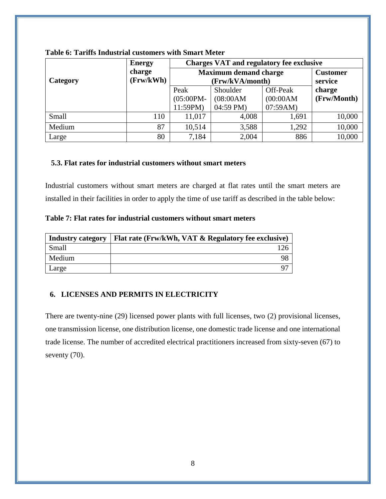|          | <b>Energy</b> | <b>Charges VAT and regulatory fee exclusive</b> |                 |           |             |  |
|----------|---------------|-------------------------------------------------|-----------------|-----------|-------------|--|
|          | charge        | <b>Maximum demand charge</b>                    |                 |           |             |  |
| Category | (Frw/kWh)     |                                                 | (Frw/kVA/month) |           | service     |  |
|          |               | Peak                                            | Shoulder        | Off-Peak  | charge      |  |
|          |               | $(05:00PM -$                                    | (08:00AM)       | (00:00AM) | (Frw/Month) |  |
|          |               | 11:59PM                                         | 04:59 PM)       | 07:59AM)  |             |  |
| Small    | 110           | 11,017                                          | 4,008           | 1,691     | 10,000      |  |
| Medium   | 87            | 10,514                                          | 3,588           | 1,292     | 10,000      |  |
| Large    | 80            | 7,184                                           | 2,004           | 886       | 10,000      |  |

#### <span id="page-8-2"></span>**Table 6: Tariffs Industrial customers with Smart Meter**

#### <span id="page-8-0"></span>**5.3. Flat rates for industrial customers without smart meters**

Industrial customers without smart meters are charged at flat rates until the smart meters are installed in their facilities in order to apply the time of use tariff as described in the table below:

<span id="page-8-3"></span>**Table 7: Flat rates for industrial customers without smart meters** 

| <b>Industry category</b> | Flat rate (Frw/kWh, VAT & Regulatory fee exclusive) |
|--------------------------|-----------------------------------------------------|
| Small                    |                                                     |
| Medium                   |                                                     |
| Large                    |                                                     |

#### <span id="page-8-1"></span>**6. LICENSES AND PERMITS IN ELECTRICITY**

There are twenty-nine (29) licensed power plants with full licenses, two (2) provisional licenses, one transmission license, one distribution license, one domestic trade license and one international trade license. The number of accredited electrical practitioners increased from sixty-seven (67) to seventy  $(70)$ .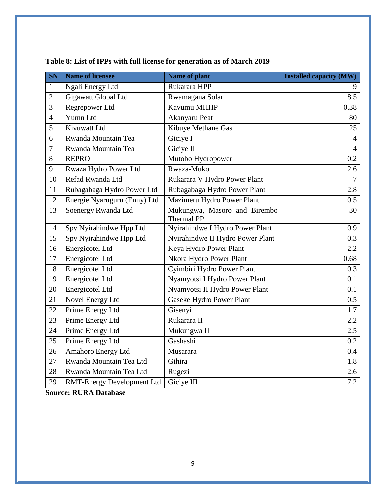| <b>SN</b>      | <b>Name of licensee</b>           | Name of plant                              | <b>Installed capacity (MW)</b> |
|----------------|-----------------------------------|--------------------------------------------|--------------------------------|
| $\mathbf{1}$   | Ngali Energy Ltd                  | Rukarara HPP                               | 9                              |
| $\sqrt{2}$     | Gigawatt Global Ltd               | Rwamagana Solar                            | 8.5                            |
| 3              | Regrepower Ltd                    | Kavumu MHHP                                | 0.38                           |
| $\overline{4}$ | Yumn Ltd                          | Akanyaru Peat                              | 80                             |
| $\mathfrak{S}$ | Kivuwatt Ltd                      | Kibuye Methane Gas                         | 25                             |
| 6              | Rwanda Mountain Tea               | Giciye I                                   | $\overline{4}$                 |
| 7              | Rwanda Mountain Tea               | Giciye II                                  | $\overline{4}$                 |
| 8              | <b>REPRO</b>                      | Mutobo Hydropower                          | 0.2                            |
| 9              | Rwaza Hydro Power Ltd             | Rwaza-Muko                                 | 2.6                            |
| 10             | Refad Rwanda Ltd                  | Rukarara V Hydro Power Plant               | $\tau$                         |
| 11             | Rubagabaga Hydro Power Ltd        | Rubagabaga Hydro Power Plant               | 2.8                            |
| 12             | Energie Nyaruguru (Enny) Ltd      | Mazimeru Hydro Power Plant                 | 0.5                            |
| 13             | Soenergy Rwanda Ltd               | Mukungwa, Masoro and Birembo<br>Thermal PP | $\overline{30}$                |
| 14             | Spv Nyirahindwe Hpp Ltd           | Nyirahindwe I Hydro Power Plant            | 0.9                            |
| 15             | Spv Nyirahindwe Hpp Ltd           | Nyirahindwe II Hydro Power Plant           | 0.3                            |
| 16             | Energicotel Ltd                   | Keya Hydro Power Plant                     | $2.2^{\circ}$                  |
| 17             | Energicotel Ltd                   | Nkora Hydro Power Plant                    | 0.68                           |
| 18             | Energicotel Ltd                   | Cyimbiri Hydro Power Plant                 | 0.3                            |
| 19             | Energicotel Ltd                   | Nyamyotsi I Hydro Power Plant              | 0.1                            |
| 20             | Energicotel Ltd                   | Nyamyotsi II Hydro Power Plant             | 0.1                            |
| 21             | Novel Energy Ltd                  | Gaseke Hydro Power Plant                   | 0.5                            |
| 22             | Prime Energy Ltd                  | Gisenyi                                    | 1.7                            |
| 23             | Prime Energy Ltd                  | Rukarara II                                | 2.2                            |
| 24             | Prime Energy Ltd                  | Mukungwa II                                | 2.5                            |
| 25             | Prime Energy Ltd                  | Gashashi                                   | 0.2                            |
| 26             | Amahoro Energy Ltd                | Musarara                                   | 0.4                            |
| 27             | Rwanda Mountain Tea Ltd           | Gihira                                     | 1.8                            |
| 28             | Rwanda Mountain Tea Ltd           | Rugezi                                     | 2.6                            |
| 29             | <b>RMT-Energy Development Ltd</b> | Giciye III                                 | 7.2                            |

# <span id="page-9-0"></span>**Table 8: List of IPPs with full license for generation as of March 2019**

**Source: RURA Database**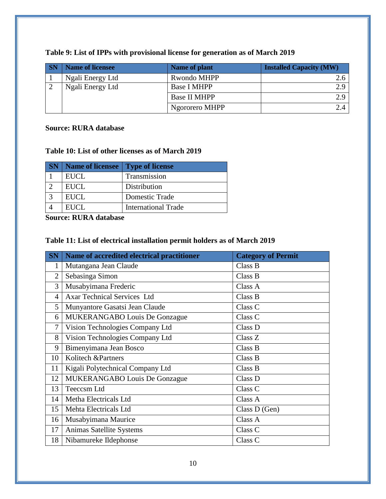| <b>SN</b> | <b>Name of licensee</b> | <b>Name of plant</b> | <b>Installed Capacity (MW)</b> |
|-----------|-------------------------|----------------------|--------------------------------|
|           | Ngali Energy Ltd        | Rwondo MHPP          |                                |
|           | Ngali Energy Ltd        | <b>Base I MHPP</b>   | 2.9                            |
|           |                         | <b>Base II MHPP</b>  | 2.9                            |
|           |                         | Ngororero MHPP       |                                |

#### <span id="page-10-0"></span>**Table 9: List of IPPs with provisional license for generation as of March 2019**

#### **Source: RURA database**

### <span id="page-10-1"></span>**Table 10: List of other licenses as of March 2019**

| <b>SN</b>   Name of licensee   Type of license |                            |
|------------------------------------------------|----------------------------|
| <b>EUCL</b>                                    | Transmission               |
| EUCL                                           | Distribution               |
| <b>EUCL</b>                                    | Domestic Trade             |
| EUCL                                           | <b>International Trade</b> |

**Source: RURA database**

### <span id="page-10-2"></span>**Table 11: List of electrical installation permit holders as of March 2019**

| <b>SN</b>      | Name of accredited electrical practitioner | <b>Category of Permit</b> |
|----------------|--------------------------------------------|---------------------------|
| 1              | Mutangana Jean Claude                      | Class B                   |
| $\overline{2}$ | Sebasinga Simon                            | Class B                   |
| 3              | Musabyimana Frederic                       | Class A                   |
| 4              | <b>Axar Technical Services Ltd</b>         | Class B                   |
| 5              | Munyantore Gasatsi Jean Claude             | Class <sub>C</sub>        |
| 6              | <b>MUKERANGABO Louis De Gonzague</b>       | Class <sub>C</sub>        |
| 7              | Vision Technologies Company Ltd            | Class D                   |
| 8              | Vision Technologies Company Ltd            | Class Z                   |
| 9              | Bimenyimana Jean Bosco                     | Class B                   |
| 10             | Kolitech &Partners                         | Class B                   |
| 11             | Kigali Polytechnical Company Ltd           | Class B                   |
| 12             | <b>MUKERANGABO Louis De Gonzague</b>       | Class D                   |
| 13             | Teeccsm Ltd                                | Class <sub>C</sub>        |
| 14             | Metha Electricals Ltd                      | Class A                   |
| 15             | Mehta Electricals Ltd                      | Class D (Gen)             |
| 16             | Musabyimana Maurice                        | Class A                   |
| 17             | Animas Satellite Systems                   | Class C                   |
| 18             | Nibamureke Ildephonse                      | Class <sub>C</sub>        |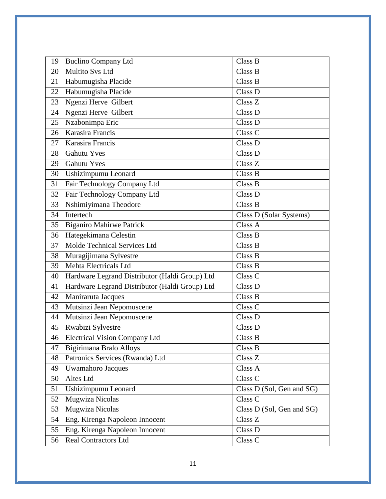| 19 | <b>Buclino Company Ltd</b>                     | Class B                     |
|----|------------------------------------------------|-----------------------------|
| 20 | <b>Multito Svs Ltd</b>                         | Class B                     |
| 21 | Habumugisha Placide                            | Class B                     |
| 22 | Habumugisha Placide                            | Class D                     |
| 23 | Ngenzi Herve Gilbert                           | Class Z                     |
| 24 | Ngenzi Herve Gilbert                           | Class D                     |
| 25 | Nzabonimpa Eric                                | Class D                     |
| 26 | Karasira Francis                               | Class C                     |
| 27 | Karasira Francis                               | Class D                     |
| 28 | <b>Gahutu Yves</b>                             | Class D                     |
| 29 | <b>Gahutu Yves</b>                             | Class Z                     |
| 30 | Ushizimpumu Leonard                            | Class B                     |
| 31 | Fair Technology Company Ltd                    | Class B                     |
| 32 | Fair Technology Company Ltd                    | Class D                     |
| 33 | Nshimiyimana Theodore                          | Class B                     |
| 34 | Intertech                                      | Class D (Solar Systems)     |
| 35 | <b>Biganiro Mahirwe Patrick</b>                | Class A                     |
| 36 | Hategekimana Celestin                          | Class B                     |
| 37 | Molde Technical Services Ltd                   | Class B                     |
| 38 | Muragijimana Sylvestre                         | Class B                     |
| 39 | Mehta Electricals Ltd                          | Class B                     |
| 40 | Hardware Legrand Distributor (Haldi Group) Ltd | Class C                     |
| 41 | Hardware Legrand Distributor (Haldi Group) Ltd | Class D                     |
| 42 | Maniraruta Jacques                             | Class B                     |
| 43 | Mutsinzi Jean Nepomuscene                      | Class <sub>C</sub>          |
| 44 | Mutsinzi Jean Nepomuscene                      | Class D                     |
| 45 | Rwabizi Sylvestre                              | Class D                     |
|    | 46   Electrical Vision Company Ltd             | Class B                     |
| 47 | Bigirimana Bralo Alloys                        | Class B                     |
| 48 | Patronics Services (Rwanda) Ltd                | Class Z                     |
| 49 | <b>Uwamahoro Jacques</b>                       | Class A                     |
| 50 | Altes Ltd                                      | $\overline{\text{Class}}$ C |
| 51 | Ushizimpumu Leonard                            | Class D (Sol, Gen and SG)   |
| 52 | Mugwiza Nicolas                                | Class C                     |
| 53 | Mugwiza Nicolas                                | Class D (Sol, Gen and SG)   |
| 54 | Eng. Kirenga Napoleon Innocent                 | Class Z                     |
| 55 | Eng. Kirenga Napoleon Innocent                 | Class D                     |
| 56 | <b>Real Contractors Ltd</b>                    | Class C                     |